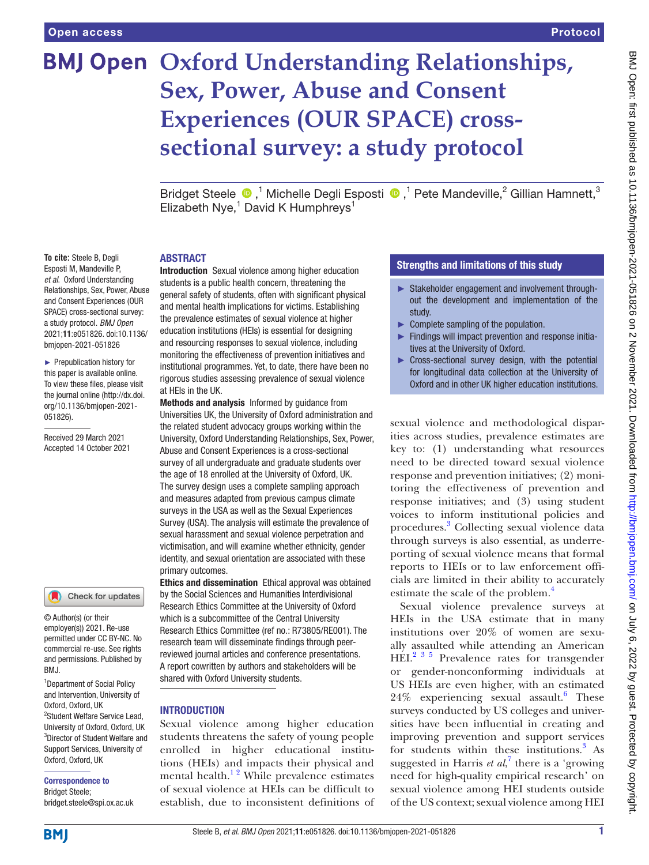# **BMJ Open Oxford Understanding Relationships, Sex, Power, Abuse and Consent Experiences (OUR SPACE) crosssectional survey: a study protocol**

BridgetSteele  $\bigcirc$ ,<sup>1</sup> Michelle Degli Esposti  $\bigcirc$ ,<sup>1</sup> Pete Mandeville,<sup>2</sup> Gillian Hamnett,<sup>3</sup> Elizabeth Nye,<sup>1</sup> David K Humphreys<sup>1</sup>

#### ABSTRACT

Introduction Sexual violence among higher education students is a public health concern, threatening the general safety of students, often with significant physical and mental health implications for victims. Establishing the prevalence estimates of sexual violence at higher education institutions (HEIs) is essential for designing and resourcing responses to sexual violence, including monitoring the effectiveness of prevention initiatives and institutional programmes. Yet, to date, there have been no rigorous studies assessing prevalence of sexual violence at HEIs in the UK.

Methods and analysis Informed by guidance from Universities UK, the University of Oxford administration and the related student advocacy groups working within the University, Oxford Understanding Relationships, Sex, Power, Abuse and Consent Experiences is a cross-sectional survey of all undergraduate and graduate students over the age of 18 enrolled at the University of Oxford, UK. The survey design uses a complete sampling approach and measures adapted from previous campus climate surveys in the USA as well as the Sexual Experiences Survey (USA). The analysis will estimate the prevalence of sexual harassment and sexual violence perpetration and victimisation, and will examine whether ethnicity, gender identity, and sexual orientation are associated with these primary outcomes.

Ethics and dissemination Ethical approval was obtained by the Social Sciences and Humanities Interdivisional Research Ethics Committee at the University of Oxford which is a subcommittee of the Central University Research Ethics Committee (ref no.: R73805/RE001). The research team will disseminate findings through peerreviewed journal articles and conference presentations. A report cowritten by authors and stakeholders will be shared with Oxford University students.

#### **INTRODUCTION**

Sexual violence among higher education students threatens the safety of young people enrolled in higher educational institutions (HEIs) and impacts their physical and mental health. $1<sup>2</sup>$  While prevalence estimates of sexual violence at HEIs can be difficult to establish, due to inconsistent definitions of

## Strengths and limitations of this study

- ► Stakeholder engagement and involvement throughout the development and implementation of the study.
- ► Complete sampling of the population.
- ► Findings will impact prevention and response initiatives at the University of Oxford.
- ► Cross-sectional survey design, with the potential for longitudinal data collection at the University of Oxford and in other UK higher education institutions.

sexual violence and methodological disparities across studies, prevalence estimates are key to: (1) understanding what resources need to be directed toward sexual violence response and prevention initiatives; (2) monitoring the effectiveness of prevention and response initiatives; and (3) using student voices to inform institutional policies and procedures[.3](#page-6-1) Collecting sexual violence data through surveys is also essential, as underreporting of sexual violence means that formal reports to HEIs or to law enforcement officials are limited in their ability to accurately estimate the scale of the problem.<sup>[4](#page-6-2)</sup>

Sexual violence prevalence surveys at HEIs in the USA estimate that in many institutions over 20% of women are sexually assaulted while attending an American HEI.<sup>[2 3 5](#page-6-3)</sup> Prevalence rates for transgender or gender-nonconforming individuals at US HEIs are even higher, with an estimated 24% experiencing sexual assault.<sup>6</sup> These surveys conducted by US colleges and universities have been influential in creating and improving prevention and support services for students within these institutions.<sup>[3](#page-6-1)</sup> As suggested in Harris  $et al$ <sup>[7](#page-6-5)</sup>, there is a 'growing' need for high-quality empirical research' on sexual violence among HEI students outside of the US context; sexual violence among HEI

**To cite:** Steele B, Degli Esposti M, Mandeville P, *et al*. Oxford Understanding Relationships, Sex, Power, Abuse and Consent Experiences (OUR SPACE) cross-sectional survey: a study protocol. *BMJ Open* 2021;11:e051826. doi:10.1136/ bmjopen-2021-051826

► Prepublication history for this paper is available online. To view these files, please visit the journal online [\(http://dx.doi.](http://dx.doi.org/10.1136/bmjopen-2021-051826) [org/10.1136/bmjopen-2021-](http://dx.doi.org/10.1136/bmjopen-2021-051826) [051826\)](http://dx.doi.org/10.1136/bmjopen-2021-051826).

Received 29 March 2021 Accepted 14 October 2021



© Author(s) (or their employer(s)) 2021. Re-use permitted under CC BY-NC. No commercial re-use. See rights and permissions. Published by BMJ.

1 Department of Social Policy and Intervention, University of Oxford, Oxford, UK 2 Student Welfare Service Lead, University of Oxford, Oxford, UK 3 Director of Student Welfare and Support Services, University of Oxford, Oxford, UK

Correspondence to Bridget Steele;

bridget.steele@spi.ox.ac.uk



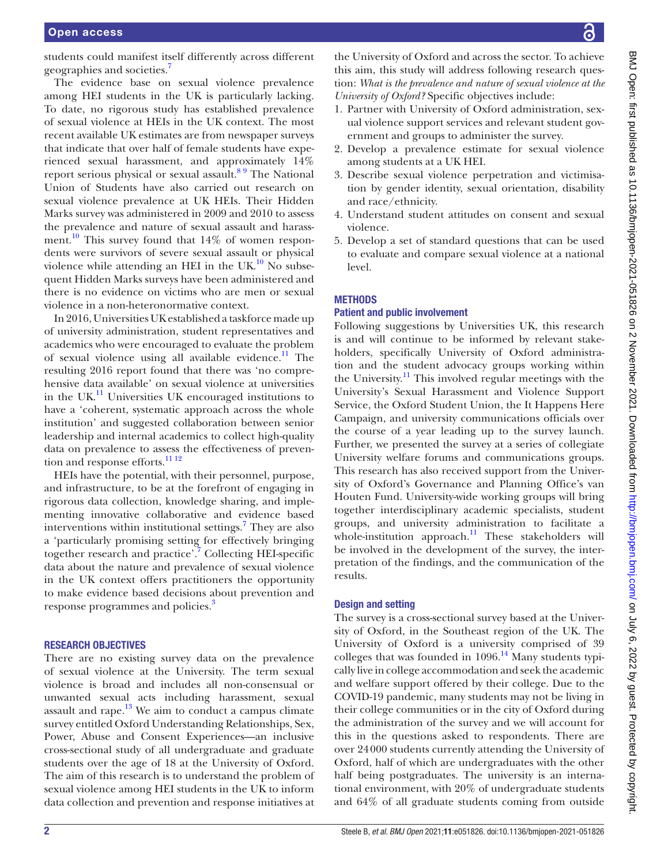students could manifest itself differently across different geographies and societies[.7](#page-6-5)

The evidence base on sexual violence prevalence among HEI students in the UK is particularly lacking. To date, no rigorous study has established prevalence of sexual violence at HEIs in the UK context. The most recent available UK estimates are from newspaper surveys that indicate that over half of female students have experienced sexual harassment, and approximately 14% report serious physical or sexual assault.<sup>8 9</sup> The National Union of Students have also carried out research on sexual violence prevalence at UK HEIs. Their Hidden Marks survey was administered in 2009 and 2010 to assess the prevalence and nature of sexual assault and harassment.<sup>10</sup> This survey found that  $14\%$  of women respondents were survivors of severe sexual assault or physical violence while attending an HEI in the UK. $^{10}$  No subsequent Hidden Marks surveys have been administered and there is no evidence on victims who are men or sexual violence in a non-heteronormative context.

In 2016, Universities UK established a taskforce made up of university administration, student representatives and academics who were encouraged to evaluate the problem of sexual violence using all available evidence. $\frac{11}{11}$  $\frac{11}{11}$  $\frac{11}{11}$  The resulting 2016 report found that there was 'no comprehensive data available' on sexual violence at universities in the UK. $<sup>11</sup>$  Universities UK encouraged institutions to</sup> have a 'coherent, systematic approach across the whole institution' and suggested collaboration between senior leadership and internal academics to collect high-quality data on prevalence to assess the effectiveness of prevention and response efforts.<sup>11 12</sup>

HEIs have the potential, with their personnel, purpose, and infrastructure, to be at the forefront of engaging in rigorous data collection, knowledge sharing, and implementing innovative collaborative and evidence based interventions within institutional settings.<sup>[7](#page-6-5)</sup> They are also a 'particularly promising setting for effectively bringing together research and practice'.<sup>7</sup> Collecting HEI-specific data about the nature and prevalence of sexual violence in the UK context offers practitioners the opportunity to make evidence based decisions about prevention and response programmes and policies.<sup>3</sup>

#### RESEARCH OBJECTIVES

There are no existing survey data on the prevalence of sexual violence at the University. The term sexual violence is broad and includes all non-consensual or unwanted sexual acts including harassment, sexual assault and rape. $^{13}$  $^{13}$  $^{13}$  We aim to conduct a campus climate survey entitled Oxford Understanding Relationships, Sex, Power, Abuse and Consent Experiences—an inclusive cross-sectional study of all undergraduate and graduate students over the age of 18 at the University of Oxford. The aim of this research is to understand the problem of sexual violence among HEI students in the UK to inform data collection and prevention and response initiatives at

the University of Oxford and across the sector. To achieve this aim, this study will address following research question: *What is the prevalence and nature of sexual violence at the University of Oxford?* Specific objectives include:

- 1. Partner with University of Oxford administration, sexual violence support services and relevant student government and groups to administer the survey.
- 2. Develop a prevalence estimate for sexual violence among students at a UK HEI.
- 3. Describe sexual violence perpetration and victimisation by gender identity, sexual orientation, disability and race/ethnicity.
- 4. Understand student attitudes on consent and sexual violence.
- 5. Develop a set of standard questions that can be used to evaluate and compare sexual violence at a national level.

## **METHODS**

## Patient and public involvement

Following suggestions by Universities UK, this research is and will continue to be informed by relevant stakeholders, specifically University of Oxford administration and the student advocacy groups working within the University. $\frac{11}{11}$  This involved regular meetings with the University's Sexual Harassment and Violence Support Service, the Oxford Student Union, the It Happens Here Campaign, and university communications officials over the course of a year leading up to the survey launch. Further, we presented the survey at a series of collegiate University welfare forums and communications groups. This research has also received support from the University of Oxford's Governance and Planning Office's van Houten Fund. University-wide working groups will bring together interdisciplinary academic specialists, student groups, and university administration to facilitate a whole-institution approach.<sup>[11](#page-6-8)</sup> These stakeholders will be involved in the development of the survey, the interpretation of the findings, and the communication of the results.

#### Design and setting

The survey is a cross-sectional survey based at the University of Oxford, in the Southeast region of the UK. The University of Oxford is a university comprised of 39 colleges that was founded in  $1096$ .<sup>[14](#page-6-10)</sup> Many students typically live in college accommodation and seek the academic and welfare support offered by their college. Due to the COVID-19 pandemic, many students may not be living in their college communities or in the city of Oxford during the administration of the survey and we will account for this in the questions asked to respondents. There are over 24000 students currently attending the University of Oxford, half of which are undergraduates with the other half being postgraduates. The university is an international environment, with 20% of undergraduate students and 64% of all graduate students coming from outside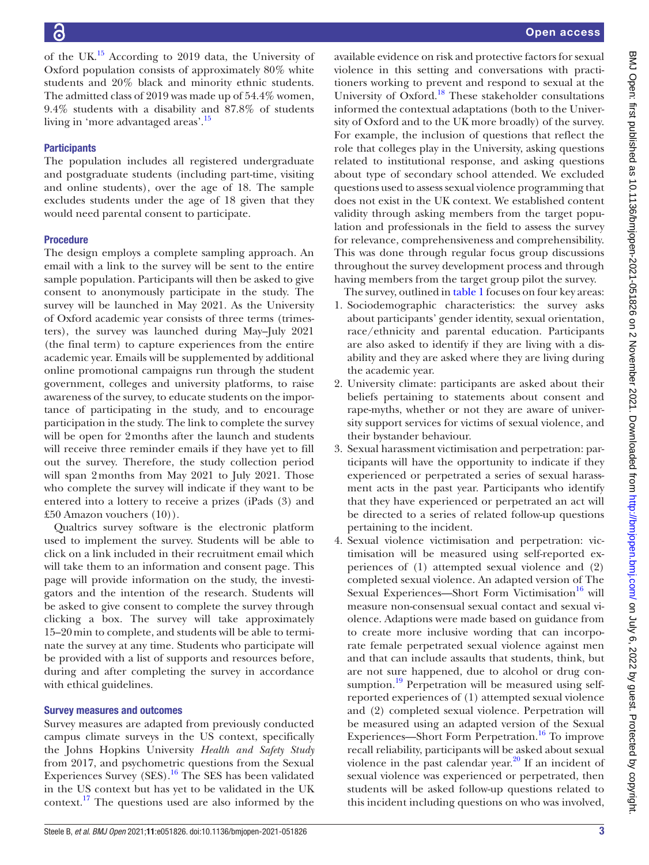of the UK $^{15}$  According to 2019 data, the University of Oxford population consists of approximately 80% white students and 20% black and minority ethnic students. The admitted class of 2019 was made up of 54.4% women, 9.4% students with a disability and 87.8% of students living in 'more advantaged areas'.[15](#page-6-11)

# **Participants**

The population includes all registered undergraduate and postgraduate students (including part-time, visiting and online students), over the age of 18. The sample excludes students under the age of 18 given that they would need parental consent to participate.

## Procedure

The design employs a complete sampling approach. An email with a link to the survey will be sent to the entire sample population. Participants will then be asked to give consent to anonymously participate in the study. The survey will be launched in May 2021. As the University of Oxford academic year consists of three terms (trimesters), the survey was launched during May–July 2021 (the final term) to capture experiences from the entire academic year. Emails will be supplemented by additional online promotional campaigns run through the student government, colleges and university platforms, to raise awareness of the survey, to educate students on the importance of participating in the study, and to encourage participation in the study. The link to complete the survey will be open for 2months after the launch and students will receive three reminder emails if they have yet to fill out the survey. Therefore, the study collection period will span 2 months from May 2021 to July 2021. Those who complete the survey will indicate if they want to be entered into a lottery to receive a prizes (iPads (3) and £50 Amazon vouchers (10)).

Qualtrics survey software is the electronic platform used to implement the survey. Students will be able to click on a link included in their recruitment email which will take them to an information and consent page. This page will provide information on the study, the investigators and the intention of the research. Students will be asked to give consent to complete the survey through clicking a box. The survey will take approximately 15–20min to complete, and students will be able to terminate the survey at any time. Students who participate will be provided with a list of supports and resources before, during and after completing the survey in accordance with ethical guidelines.

## Survey measures and outcomes

Survey measures are adapted from previously conducted campus climate surveys in the US context, specifically the Johns Hopkins University *Health and Safety Study* from 2017, and psychometric questions from the Sexual Experiences Survey  $(SES).<sup>16</sup>$  $(SES).<sup>16</sup>$  $(SES).<sup>16</sup>$  The SES has been validated in the US context but has yet to be validated in the UK context.[17](#page-6-13) The questions used are also informed by the

available evidence on risk and protective factors for sexual violence in this setting and conversations with practitioners working to prevent and respond to sexual at the University of Oxford.<sup>[18](#page-6-14)</sup> These stakeholder consultations informed the contextual adaptations (both to the University of Oxford and to the UK more broadly) of the survey. For example, the inclusion of questions that reflect the role that colleges play in the University, asking questions related to institutional response, and asking questions about type of secondary school attended. We excluded questions used to assess sexual violence programming that does not exist in the UK context. We established content validity through asking members from the target population and professionals in the field to assess the survey for relevance, comprehensiveness and comprehensibility. This was done through regular focus group discussions throughout the survey development process and through having members from the target group pilot the survey.

The survey, outlined in [table](#page-3-0) 1 focuses on four key areas:

- 1. Sociodemographic characteristics: the survey asks about participants' gender identity, sexual orientation, race/ethnicity and parental education. Participants are also asked to identify if they are living with a disability and they are asked where they are living during the academic year.
- 2. University climate: participants are asked about their beliefs pertaining to statements about consent and rape-myths, whether or not they are aware of university support services for victims of sexual violence, and their bystander behaviour.
- 3. Sexual harassment victimisation and perpetration: participants will have the opportunity to indicate if they experienced or perpetrated a series of sexual harassment acts in the past year. Participants who identify that they have experienced or perpetrated an act will be directed to a series of related follow-up questions pertaining to the incident.
- 4. Sexual violence victimisation and perpetration: victimisation will be measured using self-reported experiences of (1) attempted sexual violence and (2) completed sexual violence. An adapted version of The Sexual Experiences—Short Form Victimisation $16$  will measure non-consensual sexual contact and sexual violence. Adaptions were made based on guidance from to create more inclusive wording that can incorporate female perpetrated sexual violence against men and that can include assaults that students, think, but are not sure happened, due to alcohol or drug consumption.<sup>19</sup> Perpetration will be measured using selfreported experiences of (1) attempted sexual violence and (2) completed sexual violence. Perpetration will be measured using an adapted version of the Sexual Experiences—Short Form Perpetration.<sup>16</sup> To improve recall reliability, participants will be asked about sexual violence in the past calendar year. $^{20}$  If an incident of sexual violence was experienced or perpetrated, then students will be asked follow-up questions related to this incident including questions on who was involved,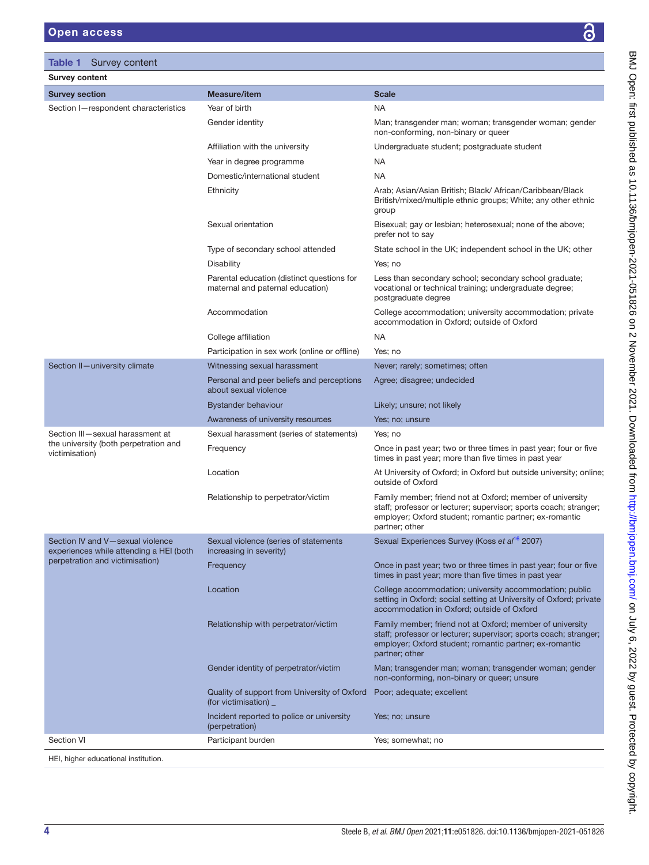BMJ Open: first published as 10.1136/bmjopen-2021-051826 on 2 November 2021. Downloaded from http://bmjopen.bmj.com/ on July 6, 2022 by guest. Protected by copyright. BMJ Open: first published as 10.1136/bmjopen-2021-051826 on 2 November 2021. Downloaded from <http://bmjopen.bmj.com/> on July 6, 2022 by guest. Protected by copyright.

<span id="page-3-0"></span>

| <b>Table 1</b><br>Survey content                                                                               |                                                                                |                                                                                                                                                                                                             |
|----------------------------------------------------------------------------------------------------------------|--------------------------------------------------------------------------------|-------------------------------------------------------------------------------------------------------------------------------------------------------------------------------------------------------------|
| <b>Survey content</b>                                                                                          |                                                                                |                                                                                                                                                                                                             |
| <b>Survey section</b>                                                                                          | <b>Measure/item</b>                                                            | <b>Scale</b>                                                                                                                                                                                                |
| Section I-respondent characteristics                                                                           | Year of birth                                                                  | <b>NA</b>                                                                                                                                                                                                   |
|                                                                                                                | Gender identity                                                                | Man; transgender man; woman; transgender woman; gender<br>non-conforming, non-binary or queer                                                                                                               |
|                                                                                                                | Affiliation with the university                                                | Undergraduate student; postgraduate student                                                                                                                                                                 |
|                                                                                                                | Year in degree programme                                                       | NA                                                                                                                                                                                                          |
|                                                                                                                | Domestic/international student                                                 | NA                                                                                                                                                                                                          |
|                                                                                                                | Ethnicity                                                                      | Arab; Asian/Asian British; Black/ African/Caribbean/Black<br>British/mixed/multiple ethnic groups; White; any other ethnic<br>group                                                                         |
|                                                                                                                | Sexual orientation                                                             | Bisexual; gay or lesbian; heterosexual; none of the above;<br>prefer not to say                                                                                                                             |
|                                                                                                                | Type of secondary school attended                                              | State school in the UK; independent school in the UK; other                                                                                                                                                 |
|                                                                                                                | Disability                                                                     | Yes; no                                                                                                                                                                                                     |
|                                                                                                                | Parental education (distinct questions for<br>maternal and paternal education) | Less than secondary school; secondary school graduate;<br>vocational or technical training; undergraduate degree;<br>postgraduate degree                                                                    |
|                                                                                                                | Accommodation                                                                  | College accommodation; university accommodation; private<br>accommodation in Oxford; outside of Oxford                                                                                                      |
|                                                                                                                | College affiliation                                                            | <b>NA</b>                                                                                                                                                                                                   |
|                                                                                                                | Participation in sex work (online or offline)                                  | Yes: no                                                                                                                                                                                                     |
| Section II-university climate                                                                                  | Witnessing sexual harassment                                                   | Never; rarely; sometimes; often                                                                                                                                                                             |
|                                                                                                                | Personal and peer beliefs and perceptions<br>about sexual violence             | Agree; disagree; undecided                                                                                                                                                                                  |
|                                                                                                                | <b>Bystander behaviour</b>                                                     | Likely; unsure; not likely                                                                                                                                                                                  |
|                                                                                                                | Awareness of university resources                                              | Yes; no; unsure                                                                                                                                                                                             |
| Section III-sexual harassment at<br>the university (both perpetration and<br>victimisation)                    | Sexual harassment (series of statements)                                       | Yes; no                                                                                                                                                                                                     |
|                                                                                                                | Frequency                                                                      | Once in past year; two or three times in past year; four or five<br>times in past year; more than five times in past year                                                                                   |
|                                                                                                                | Location                                                                       | At University of Oxford; in Oxford but outside university; online;<br>outside of Oxford                                                                                                                     |
|                                                                                                                | Relationship to perpetrator/victim                                             | Family member; friend not at Oxford; member of university<br>staff; professor or lecturer; supervisor; sports coach; stranger;<br>employer; Oxford student; romantic partner; ex-romantic<br>partner; other |
| Section IV and V-sexual violence<br>experiences while attending a HEI (both<br>perpetration and victimisation) | Sexual violence (series of statements<br>increasing in severity)               | Sexual Experiences Survey (Koss et al <sup>16</sup> 2007)                                                                                                                                                   |
|                                                                                                                | Frequency                                                                      | Once in past year; two or three times in past year; four or five<br>times in past year; more than five times in past year                                                                                   |
|                                                                                                                | Location                                                                       | College accommodation; university accommodation; public<br>setting in Oxford; social setting at University of Oxford; private<br>accommodation in Oxford; outside of Oxford                                 |
|                                                                                                                | Relationship with perpetrator/victim                                           | Family member; friend not at Oxford; member of university<br>staff; professor or lecturer; supervisor; sports coach; stranger;<br>employer; Oxford student; romantic partner; ex-romantic<br>partner; other |
|                                                                                                                | Gender identity of perpetrator/victim                                          | Man; transgender man; woman; transgender woman; gender<br>non-conforming, non-binary or queer; unsure                                                                                                       |
|                                                                                                                | Quality of support from University of Oxford<br>(for victimisation)            | Poor; adequate; excellent                                                                                                                                                                                   |
|                                                                                                                | Incident reported to police or university<br>(perpetration)                    | Yes; no; unsure                                                                                                                                                                                             |
| <b>Section VI</b>                                                                                              | Participant burden                                                             | Yes; somewhat; no                                                                                                                                                                                           |

HEI, higher educational institution.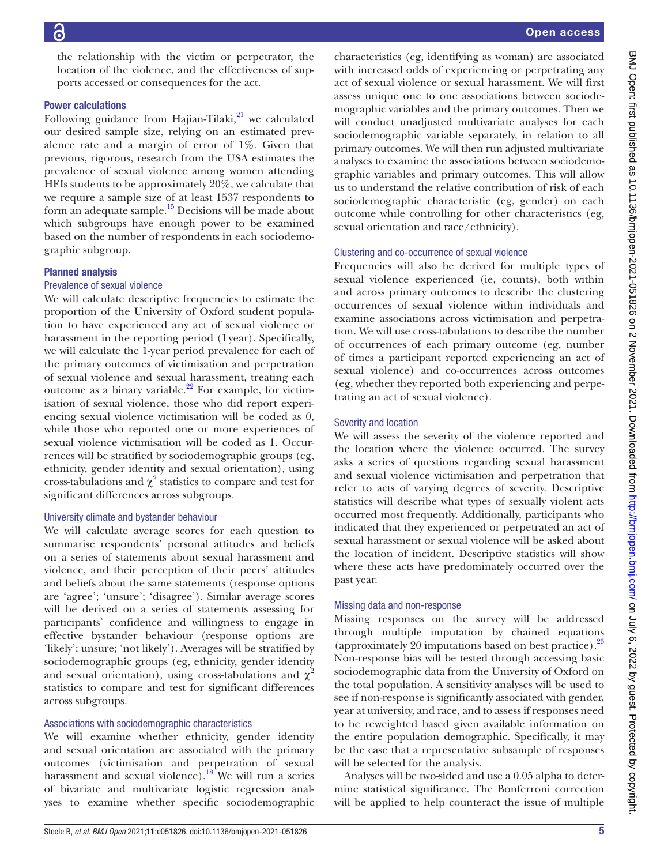the relationship with the victim or perpetrator, the location of the violence, and the effectiveness of supports accessed or consequences for the act.

#### Power calculations

Following guidance from Hajian-Tilaki, $^{21}$  we calculated our desired sample size, relying on an estimated prevalence rate and a margin of error of 1%. Given that previous, rigorous, research from the USA estimates the prevalence of sexual violence among women attending HEIs students to be approximately 20%, we calculate that we require a sample size of at least 1537 respondents to form an adequate sample.<sup>15</sup> Decisions will be made about which subgroups have enough power to be examined based on the number of respondents in each sociodemographic subgroup.

## Planned analysis

#### Prevalence of sexual violence

We will calculate descriptive frequencies to estimate the proportion of the University of Oxford student population to have experienced any act of sexual violence or harassment in the reporting period (1year). Specifically, we will calculate the 1-year period prevalence for each of the primary outcomes of victimisation and perpetration of sexual violence and sexual harassment, treating each outcome as a binary variable. $2^2$  For example, for victimisation of sexual violence, those who did report experiencing sexual violence victimisation will be coded as 0, while those who reported one or more experiences of sexual violence victimisation will be coded as 1. Occurrences will be stratified by sociodemographic groups (eg, ethnicity, gender identity and sexual orientation), using cross-tabulations and  $\chi^2$  statistics to compare and test for significant differences across subgroups.

## University climate and bystander behaviour

We will calculate average scores for each question to summarise respondents' personal attitudes and beliefs on a series of statements about sexual harassment and violence, and their perception of their peers' attitudes and beliefs about the same statements (response options are 'agree'; 'unsure'; 'disagree'). Similar average scores will be derived on a series of statements assessing for participants' confidence and willingness to engage in effective bystander behaviour (response options are 'likely'; unsure; 'not likely'). Averages will be stratified by sociodemographic groups (eg, ethnicity, gender identity and sexual orientation), using cross-tabulations and  $\chi^2$ statistics to compare and test for significant differences across subgroups.

## Associations with sociodemographic characteristics

We will examine whether ethnicity, gender identity and sexual orientation are associated with the primary outcomes (victimisation and perpetration of sexual harassment and sexual violence).<sup>18</sup> We will run a series of bivariate and multivariate logistic regression analyses to examine whether specific sociodemographic

characteristics (eg, identifying as woman) are associated with increased odds of experiencing or perpetrating any act of sexual violence or sexual harassment. We will first assess unique one to one associations between sociodemographic variables and the primary outcomes. Then we will conduct unadjusted multivariate analyses for each sociodemographic variable separately, in relation to all primary outcomes. We will then run adjusted multivariate analyses to examine the associations between sociodemographic variables and primary outcomes. This will allow us to understand the relative contribution of risk of each sociodemographic characteristic (eg, gender) on each outcome while controlling for other characteristics (eg, sexual orientation and race/ethnicity).

## Clustering and co-occurrence of sexual violence

Frequencies will also be derived for multiple types of sexual violence experienced (ie, counts), both within and across primary outcomes to describe the clustering occurrences of sexual violence within individuals and examine associations across victimisation and perpetration. We will use cross-tabulations to describe the number of occurrences of each primary outcome (eg, number of times a participant reported experiencing an act of sexual violence) and co-occurrences across outcomes (eg, whether they reported both experiencing and perpetrating an act of sexual violence).

## Severity and location

We will assess the severity of the violence reported and the location where the violence occurred. The survey asks a series of questions regarding sexual harassment and sexual violence victimisation and perpetration that refer to acts of varying degrees of severity. Descriptive statistics will describe what types of sexually violent acts occurred most frequently. Additionally, participants who indicated that they experienced or perpetrated an act of sexual harassment or sexual violence will be asked about the location of incident. Descriptive statistics will show where these acts have predominately occurred over the past year.

#### Missing data and non-response

Missing responses on the survey will be addressed through multiple imputation by chained equations (approximately 20 imputations based on best practice).[23](#page-6-19) Non-response bias will be tested through accessing basic sociodemographic data from the University of Oxford on the total population. A sensitivity analyses will be used to see if non-response is significantly associated with gender, year at university, and race, and to assess if responses need to be reweighted based given available information on the entire population demographic. Specifically, it may be the case that a representative subsample of responses will be selected for the analysis.

Analyses will be two-sided and use a 0.05 alpha to determine statistical significance. The Bonferroni correction will be applied to help counteract the issue of multiple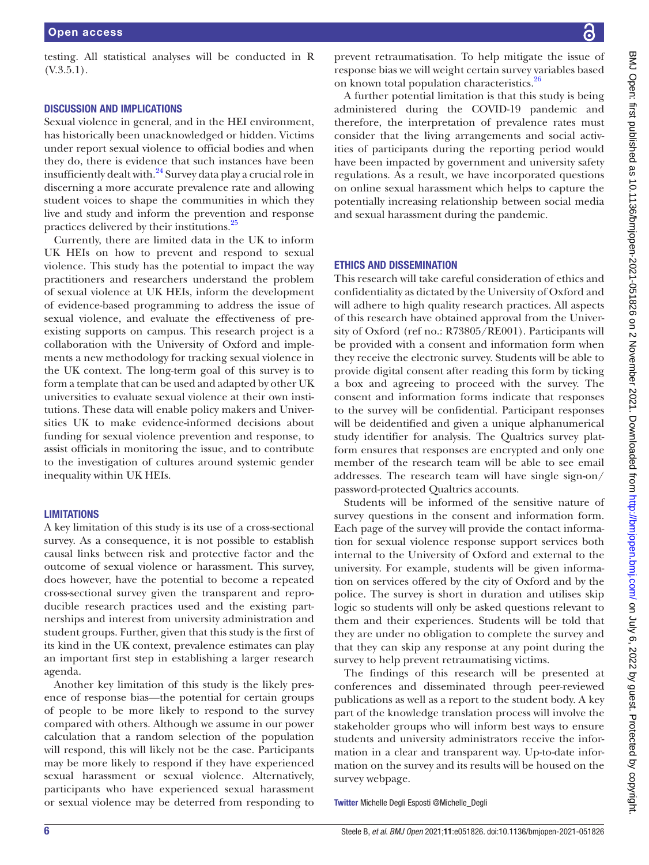testing. All statistical analyses will be conducted in R (V.3.5.1).

#### DISCUSSION AND IMPLICATIONS

Sexual violence in general, and in the HEI environment, has historically been unacknowledged or hidden. Victims under report sexual violence to official bodies and when they do, there is evidence that such instances have been insufficiently dealt with. $^{24}$  Survey data play a crucial role in discerning a more accurate prevalence rate and allowing student voices to shape the communities in which they live and study and inform the prevention and response practices delivered by their institutions.[25](#page-6-21)

Currently, there are limited data in the UK to inform UK HEIs on how to prevent and respond to sexual violence. This study has the potential to impact the way practitioners and researchers understand the problem of sexual violence at UK HEIs, inform the development of evidence-based programming to address the issue of sexual violence, and evaluate the effectiveness of preexisting supports on campus. This research project is a collaboration with the University of Oxford and implements a new methodology for tracking sexual violence in the UK context. The long-term goal of this survey is to form a template that can be used and adapted by other UK universities to evaluate sexual violence at their own institutions. These data will enable policy makers and Universities UK to make evidence-informed decisions about funding for sexual violence prevention and response, to assist officials in monitoring the issue, and to contribute to the investigation of cultures around systemic gender inequality within UK HEIs.

## **LIMITATIONS**

A key limitation of this study is its use of a cross-sectional survey. As a consequence, it is not possible to establish causal links between risk and protective factor and the outcome of sexual violence or harassment. This survey, does however, have the potential to become a repeated cross-sectional survey given the transparent and reproducible research practices used and the existing partnerships and interest from university administration and student groups. Further, given that this study is the first of its kind in the UK context, prevalence estimates can play an important first step in establishing a larger research agenda.

Another key limitation of this study is the likely presence of response bias—the potential for certain groups of people to be more likely to respond to the survey compared with others. Although we assume in our power calculation that a random selection of the population will respond, this will likely not be the case. Participants may be more likely to respond if they have experienced sexual harassment or sexual violence. Alternatively, participants who have experienced sexual harassment or sexual violence may be deterred from responding to

prevent retraumatisation. To help mitigate the issue of response bias we will weight certain survey variables based on known total population characteristics.<sup>26</sup>

A further potential limitation is that this study is being administered during the COVID-19 pandemic and therefore, the interpretation of prevalence rates must consider that the living arrangements and social activities of participants during the reporting period would have been impacted by government and university safety regulations. As a result, we have incorporated questions on online sexual harassment which helps to capture the potentially increasing relationship between social media and sexual harassment during the pandemic.

#### ETHICS AND DISSEMINATION

This research will take careful consideration of ethics and confidentiality as dictated by the University of Oxford and will adhere to high quality research practices. All aspects of this research have obtained approval from the University of Oxford (ref no.: R73805/RE001). Participants will be provided with a consent and information form when they receive the electronic survey. Students will be able to provide digital consent after reading this form by ticking a box and agreeing to proceed with the survey. The consent and information forms indicate that responses to the survey will be confidential. Participant responses will be deidentified and given a unique alphanumerical study identifier for analysis. The Qualtrics survey platform ensures that responses are encrypted and only one member of the research team will be able to see email addresses. The research team will have single sign-on/ password-protected Qualtrics accounts.

Students will be informed of the sensitive nature of survey questions in the consent and information form. Each page of the survey will provide the contact information for sexual violence response support services both internal to the University of Oxford and external to the university. For example, students will be given information on services offered by the city of Oxford and by the police. The survey is short in duration and utilises skip logic so students will only be asked questions relevant to them and their experiences. Students will be told that they are under no obligation to complete the survey and that they can skip any response at any point during the survey to help prevent retraumatising victims.

The findings of this research will be presented at conferences and disseminated through peer-reviewed publications as well as a report to the student body. A key part of the knowledge translation process will involve the stakeholder groups who will inform best ways to ensure students and university administrators receive the information in a clear and transparent way. Up-to-date information on the survey and its results will be housed on the survey webpage.

Twitter Michelle Degli Esposti [@Michelle\\_Degli](https://twitter.com/Michelle_Degli)